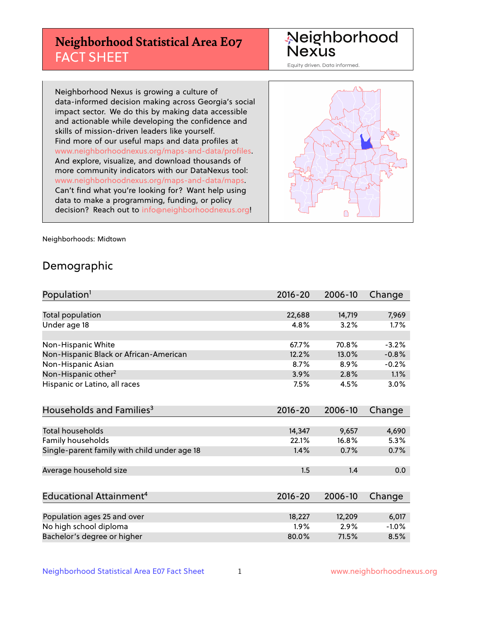## **Neighborhood Statistical Area E07** FACT SHEET

Neighborhood Nexus

Equity driven. Data informed.

Neighborhood Nexus is growing a culture of data-informed decision making across Georgia's social impact sector. We do this by making data accessible and actionable while developing the confidence and skills of mission-driven leaders like yourself. Find more of our useful maps and data profiles at www.neighborhoodnexus.org/maps-and-data/profiles. And explore, visualize, and download thousands of more community indicators with our DataNexus tool: www.neighborhoodnexus.org/maps-and-data/maps. Can't find what you're looking for? Want help using data to make a programming, funding, or policy decision? Reach out to [info@neighborhoodnexus.org!](mailto:info@neighborhoodnexus.org)



Neighborhoods: Midtown

### Demographic

| Population <sup>1</sup>                      | $2016 - 20$ | 2006-10 | Change  |
|----------------------------------------------|-------------|---------|---------|
|                                              |             |         |         |
| Total population                             | 22,688      | 14,719  | 7,969   |
| Under age 18                                 | 4.8%        | 3.2%    | 1.7%    |
|                                              |             |         |         |
| Non-Hispanic White                           | 67.7%       | 70.8%   | $-3.2%$ |
| Non-Hispanic Black or African-American       | 12.2%       | 13.0%   | $-0.8%$ |
| Non-Hispanic Asian                           | 8.7%        | 8.9%    | $-0.2%$ |
| Non-Hispanic other <sup>2</sup>              | 3.9%        | 2.8%    | 1.1%    |
| Hispanic or Latino, all races                | 7.5%        | 4.5%    | 3.0%    |
|                                              |             |         |         |
| Households and Families <sup>3</sup>         | $2016 - 20$ | 2006-10 | Change  |
|                                              |             |         |         |
| Total households                             | 14,347      | 9,657   | 4,690   |
| <b>Family households</b>                     | 22.1%       | 16.8%   | 5.3%    |
| Single-parent family with child under age 18 | 1.4%        | 0.7%    | 0.7%    |
|                                              |             |         |         |
| Average household size                       | 1.5         | 1.4     | 0.0     |
|                                              |             |         |         |
| Educational Attainment <sup>4</sup>          | $2016 - 20$ | 2006-10 | Change  |
|                                              |             |         |         |
| Population ages 25 and over                  | 18,227      | 12,209  | 6,017   |
| No high school diploma                       | 1.9%        | 2.9%    | $-1.0%$ |
| Bachelor's degree or higher                  | 80.0%       | 71.5%   | 8.5%    |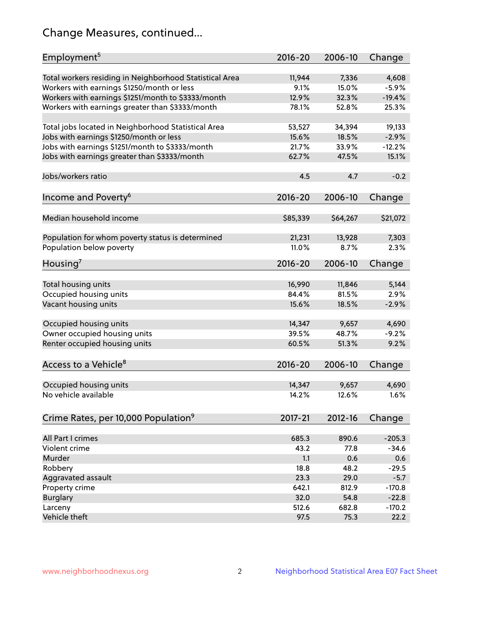## Change Measures, continued...

| Employment <sup>5</sup>                                                                          | $2016 - 20$     | 2006-10        | Change           |
|--------------------------------------------------------------------------------------------------|-----------------|----------------|------------------|
|                                                                                                  |                 |                |                  |
| Total workers residing in Neighborhood Statistical Area                                          | 11,944<br>9.1%  | 7,336<br>15.0% | 4,608<br>$-5.9%$ |
| Workers with earnings \$1250/month or less<br>Workers with earnings \$1251/month to \$3333/month | 12.9%           | 32.3%          | $-19.4%$         |
| Workers with earnings greater than \$3333/month                                                  | 78.1%           | 52.8%          | 25.3%            |
|                                                                                                  |                 |                |                  |
| Total jobs located in Neighborhood Statistical Area                                              | 53,527          | 34,394         | 19,133           |
| Jobs with earnings \$1250/month or less                                                          | 15.6%           | 18.5%          | $-2.9%$          |
| Jobs with earnings \$1251/month to \$3333/month                                                  | 21.7%           | 33.9%          | $-12.2%$         |
| Jobs with earnings greater than \$3333/month                                                     | 62.7%           | 47.5%          | 15.1%            |
|                                                                                                  |                 |                |                  |
| Jobs/workers ratio                                                                               | 4.5             | 4.7            | $-0.2$           |
|                                                                                                  |                 |                |                  |
| Income and Poverty <sup>6</sup>                                                                  | $2016 - 20$     | 2006-10        | Change           |
|                                                                                                  |                 |                |                  |
| Median household income                                                                          | \$85,339        | \$64,267       | \$21,072         |
|                                                                                                  |                 |                |                  |
| Population for whom poverty status is determined                                                 | 21,231          | 13,928         | 7,303            |
| Population below poverty                                                                         | 11.0%           | 8.7%           | 2.3%             |
|                                                                                                  |                 |                |                  |
| Housing <sup>7</sup>                                                                             | $2016 - 20$     | 2006-10        | Change           |
|                                                                                                  |                 |                |                  |
| Total housing units                                                                              | 16,990          | 11,846         | 5,144            |
| Occupied housing units                                                                           | 84.4%           | 81.5%          | 2.9%             |
| Vacant housing units                                                                             | 15.6%           | 18.5%          | $-2.9%$          |
|                                                                                                  |                 |                |                  |
| Occupied housing units                                                                           | 14,347<br>39.5% | 9,657<br>48.7% | 4,690            |
| Owner occupied housing units                                                                     |                 |                | $-9.2%$<br>9.2%  |
| Renter occupied housing units                                                                    | 60.5%           | 51.3%          |                  |
|                                                                                                  |                 |                |                  |
| Access to a Vehicle <sup>8</sup>                                                                 | $2016 - 20$     | 2006-10        | Change           |
|                                                                                                  |                 |                |                  |
| Occupied housing units<br>No vehicle available                                                   | 14,347<br>14.2% | 9,657<br>12.6% | 4,690            |
|                                                                                                  |                 |                | 1.6%             |
|                                                                                                  |                 |                |                  |
| Crime Rates, per 10,000 Population <sup>9</sup>                                                  | 2017-21         | 2012-16        | Change           |
|                                                                                                  |                 |                |                  |
| All Part I crimes                                                                                | 685.3           | 890.6          | $-205.3$         |
| Violent crime                                                                                    | 43.2            | 77.8           | $-34.6$          |
| Murder                                                                                           | 1.1             | 0.6            | 0.6              |
| Robbery                                                                                          | 18.8            | 48.2           | $-29.5$          |
| Aggravated assault                                                                               | 23.3            | 29.0           | $-5.7$           |
| Property crime                                                                                   | 642.1           | 812.9          | $-170.8$         |
| <b>Burglary</b>                                                                                  | 32.0            | 54.8           | $-22.8$          |
| Larceny                                                                                          | 512.6           | 682.8          | $-170.2$         |
| Vehicle theft                                                                                    | 97.5            | 75.3           | 22.2             |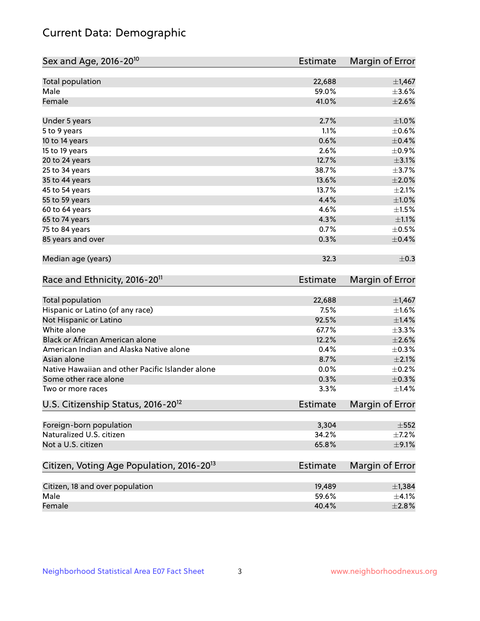## Current Data: Demographic

| Sex and Age, 2016-20 <sup>10</sup>                    | <b>Estimate</b> | Margin of Error |
|-------------------------------------------------------|-----------------|-----------------|
| Total population                                      | 22,688          | $\pm$ 1,467     |
| Male                                                  | 59.0%           | $\pm 3.6\%$     |
| Female                                                | 41.0%           | $\pm 2.6\%$     |
| Under 5 years                                         | 2.7%            | $\pm 1.0\%$     |
| 5 to 9 years                                          | 1.1%            | $\pm$ 0.6%      |
| 10 to 14 years                                        | 0.6%            | $\pm$ 0.4%      |
| 15 to 19 years                                        | 2.6%            | $\pm$ 0.9%      |
| 20 to 24 years                                        | 12.7%           | $\pm$ 3.1%      |
| 25 to 34 years                                        | 38.7%           | $\pm$ 3.7%      |
| 35 to 44 years                                        | 13.6%           | $\pm 2.0\%$     |
| 45 to 54 years                                        | 13.7%           | $\pm 2.1\%$     |
| 55 to 59 years                                        | 4.4%            | $\pm1.0\%$      |
| 60 to 64 years                                        | 4.6%            | $\pm 1.5\%$     |
| 65 to 74 years                                        | 4.3%            | $\pm 1.1\%$     |
| 75 to 84 years                                        | 0.7%            | $\pm$ 0.5%      |
| 85 years and over                                     | 0.3%            | $\pm$ 0.4%      |
| Median age (years)                                    | 32.3            | $\pm$ 0.3       |
| Race and Ethnicity, 2016-20 <sup>11</sup>             | <b>Estimate</b> | Margin of Error |
| <b>Total population</b>                               | 22,688          | $\pm$ 1,467     |
| Hispanic or Latino (of any race)                      | 7.5%            | $\pm 1.6\%$     |
| Not Hispanic or Latino                                | 92.5%           | $\pm 1.4\%$     |
| White alone                                           | 67.7%           | ±3.3%           |
| Black or African American alone                       | 12.2%           | $\pm 2.6\%$     |
| American Indian and Alaska Native alone               | 0.4%            | $\pm$ 0.3%      |
| Asian alone                                           | 8.7%            | $\pm 2.1\%$     |
| Native Hawaiian and other Pacific Islander alone      | 0.0%            | $\pm$ 0.2%      |
| Some other race alone                                 | 0.3%            | $\pm$ 0.3%      |
| Two or more races                                     | 3.3%            | ±1.4%           |
| U.S. Citizenship Status, 2016-20 <sup>12</sup>        | <b>Estimate</b> | Margin of Error |
| Foreign-born population                               | 3,304           | $\pm 552$       |
| Naturalized U.S. citizen                              | 34.2%           | $\pm$ 7.2%      |
| Not a U.S. citizen                                    | 65.8%           | $\pm$ 9.1%      |
| Citizen, Voting Age Population, 2016-20 <sup>13</sup> | <b>Estimate</b> | Margin of Error |
| Citizen, 18 and over population                       | 19,489          | ±1,384          |
| Male                                                  | 59.6%           | $\pm 4.1\%$     |
| Female                                                | 40.4%           | ±2.8%           |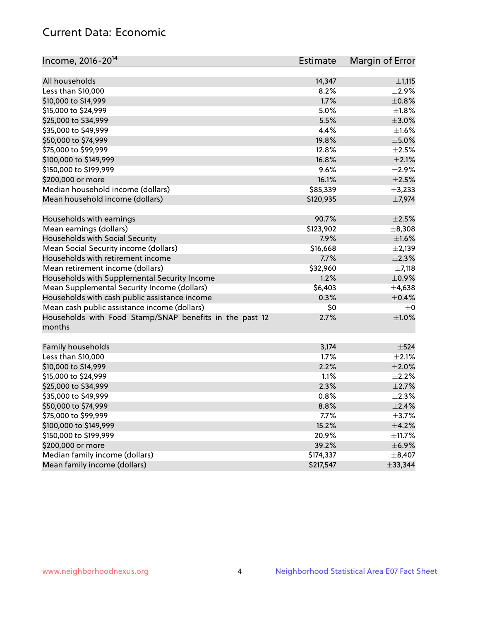## Current Data: Economic

| Income, 2016-20 <sup>14</sup>                                     | Estimate  | Margin of Error |
|-------------------------------------------------------------------|-----------|-----------------|
|                                                                   |           |                 |
| All households                                                    | 14,347    | ±1,115          |
| Less than \$10,000                                                | 8.2%      | $\pm 2.9\%$     |
| \$10,000 to \$14,999                                              | 1.7%      | $\pm$ 0.8%      |
| \$15,000 to \$24,999                                              | 5.0%      | $\pm1.8\%$      |
| \$25,000 to \$34,999                                              | 5.5%      | $\pm 3.0\%$     |
| \$35,000 to \$49,999                                              | 4.4%      | $\pm 1.6\%$     |
| \$50,000 to \$74,999                                              | 19.8%     | $\pm$ 5.0%      |
| \$75,000 to \$99,999                                              | 12.8%     | $\pm 2.5\%$     |
| \$100,000 to \$149,999                                            | 16.8%     | $\pm 2.1\%$     |
| \$150,000 to \$199,999                                            | 9.6%      | $\pm 2.9\%$     |
| \$200,000 or more                                                 | 16.1%     | $\pm 2.5\%$     |
| Median household income (dollars)                                 | \$85,339  | ±3,233          |
| Mean household income (dollars)                                   | \$120,935 | ±7,974          |
| Households with earnings                                          | 90.7%     | $\pm 2.5\%$     |
| Mean earnings (dollars)                                           | \$123,902 | $\pm$ 8,308     |
| Households with Social Security                                   | 7.9%      | $\pm 1.6\%$     |
| Mean Social Security income (dollars)                             | \$16,668  | $\pm 2,139$     |
| Households with retirement income                                 | 7.7%      | $\pm 2.3\%$     |
| Mean retirement income (dollars)                                  | \$32,960  | $\pm$ 7,118     |
| Households with Supplemental Security Income                      | 1.2%      | $\pm$ 0.9%      |
| Mean Supplemental Security Income (dollars)                       | \$6,403   | $\pm$ 4,638     |
| Households with cash public assistance income                     | 0.3%      | $\pm$ 0.4%      |
| Mean cash public assistance income (dollars)                      | \$0       | $\pm 0$         |
| Households with Food Stamp/SNAP benefits in the past 12<br>months | 2.7%      | $\pm1.0\%$      |
| Family households                                                 | 3,174     | $\pm$ 524       |
| Less than \$10,000                                                | 1.7%      | $\pm 2.1\%$     |
| \$10,000 to \$14,999                                              | 2.2%      | $\pm 2.0\%$     |
| \$15,000 to \$24,999                                              | 1.1%      | $\pm 2.2\%$     |
| \$25,000 to \$34,999                                              | 2.3%      | $\pm 2.7\%$     |
| \$35,000 to \$49,999                                              | 0.8%      | $\pm 2.3\%$     |
| \$50,000 to \$74,999                                              | 8.8%      | $\pm 2.4\%$     |
| \$75,000 to \$99,999                                              | 7.7%      | $\pm$ 3.7%      |
| \$100,000 to \$149,999                                            | 15.2%     | $\pm$ 4.2%      |
| \$150,000 to \$199,999                                            | 20.9%     | $\pm$ 11.7%     |
| \$200,000 or more                                                 | 39.2%     | $\pm$ 6.9%      |
| Median family income (dollars)                                    | \$174,337 | $\pm$ 8,407     |
| Mean family income (dollars)                                      | \$217,547 | ±33,344         |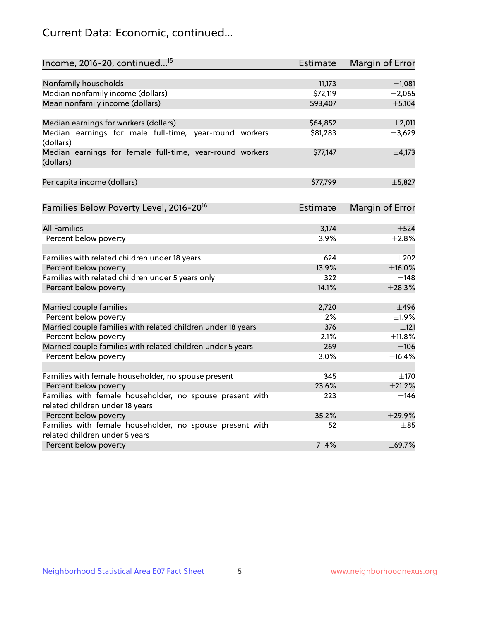## Current Data: Economic, continued...

| Income, 2016-20, continued <sup>15</sup>                                              | <b>Estimate</b> | Margin of Error        |
|---------------------------------------------------------------------------------------|-----------------|------------------------|
|                                                                                       |                 |                        |
| Nonfamily households                                                                  | 11,173          | $\pm$ 1,081            |
| Median nonfamily income (dollars)                                                     | \$72,119        | ±2,065                 |
| Mean nonfamily income (dollars)                                                       | \$93,407        | ± 5,104                |
| Median earnings for workers (dollars)                                                 | \$64,852        | $\pm 2,011$            |
| Median earnings for male full-time, year-round workers<br>(dollars)                   | \$81,283        | ±3,629                 |
| Median earnings for female full-time, year-round workers<br>(dollars)                 | \$77,147        | $\pm$ 4,173            |
| Per capita income (dollars)                                                           | \$77,799        | ±5,827                 |
| Families Below Poverty Level, 2016-20 <sup>16</sup>                                   | <b>Estimate</b> | <b>Margin of Error</b> |
|                                                                                       |                 |                        |
| <b>All Families</b>                                                                   | 3,174           | $\pm$ 524              |
| Percent below poverty                                                                 | 3.9%            | $\pm 2.8\%$            |
| Families with related children under 18 years                                         | 624             | $\pm 202$              |
| Percent below poverty                                                                 | 13.9%           | $\pm$ 16.0%            |
| Families with related children under 5 years only                                     | 322             | $\pm$ 148              |
| Percent below poverty                                                                 | 14.1%           | ±28.3%                 |
|                                                                                       | 2,720           | $\pm$ 496              |
| Married couple families                                                               | 1.2%            | ±1.9%                  |
| Percent below poverty                                                                 | 376             |                        |
| Married couple families with related children under 18 years<br>Percent below poverty | 2.1%            | $\pm 121$<br>±11.8%    |
| Married couple families with related children under 5 years                           | 269             | $\pm$ 106              |
| Percent below poverty                                                                 | 3.0%            | ±16.4%                 |
|                                                                                       |                 |                        |
| Families with female householder, no spouse present                                   | 345             | $\pm 170$              |
| Percent below poverty                                                                 | 23.6%           | ±21.2%                 |
| Families with female householder, no spouse present with                              | 223             | $\pm$ 146              |
| related children under 18 years                                                       |                 |                        |
| Percent below poverty                                                                 | 35.2%           | ±29.9%                 |
| Families with female householder, no spouse present with                              | 52              | $\pm$ 85               |
| related children under 5 years                                                        |                 |                        |
| Percent below poverty                                                                 | 71.4%           | ±69.7%                 |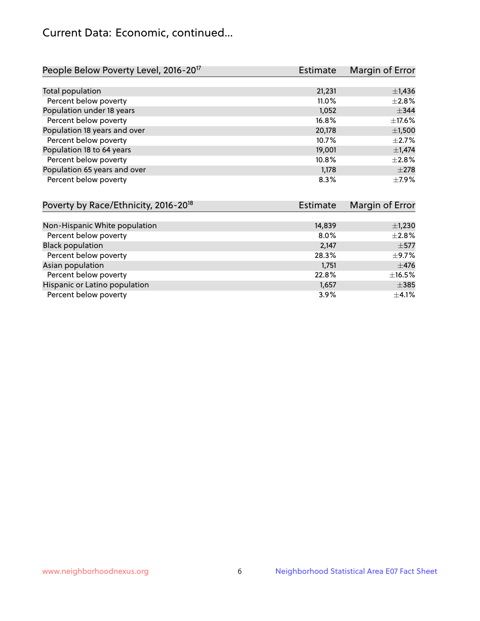## Current Data: Economic, continued...

| People Below Poverty Level, 2016-20 <sup>17</sup> | <b>Estimate</b> | Margin of Error |
|---------------------------------------------------|-----------------|-----------------|
|                                                   |                 |                 |
| Total population                                  | 21,231          | $\pm$ 1,436     |
| Percent below poverty                             | 11.0%           | $\pm 2.8\%$     |
| Population under 18 years                         | 1,052           | $\pm$ 344       |
| Percent below poverty                             | 16.8%           | $\pm$ 17.6%     |
| Population 18 years and over                      | 20,178          | $\pm$ 1,500     |
| Percent below poverty                             | 10.7%           | $+2.7%$         |
| Population 18 to 64 years                         | 19,001          | $\pm$ 1,474     |
| Percent below poverty                             | 10.8%           | $\pm 2.8\%$     |
| Population 65 years and over                      | 1,178           | $\pm 278$       |
| Percent below poverty                             | 8.3%            | $\pm$ 7.9%      |

| Poverty by Race/Ethnicity, 2016-20 <sup>18</sup> | <b>Estimate</b> | Margin of Error |
|--------------------------------------------------|-----------------|-----------------|
|                                                  |                 |                 |
| Non-Hispanic White population                    | 14,839          | $\pm$ 1,230     |
| Percent below poverty                            | $8.0\%$         | $\pm 2.8\%$     |
| <b>Black population</b>                          | 2,147           | $\pm$ 577       |
| Percent below poverty                            | 28.3%           | $\pm$ 9.7%      |
| Asian population                                 | 1,751           | $\pm$ 476       |
| Percent below poverty                            | 22.8%           | $\pm$ 16.5%     |
| Hispanic or Latino population                    | 1,657           | $\pm$ 385       |
| Percent below poverty                            | 3.9%            | $\pm$ 4.1%      |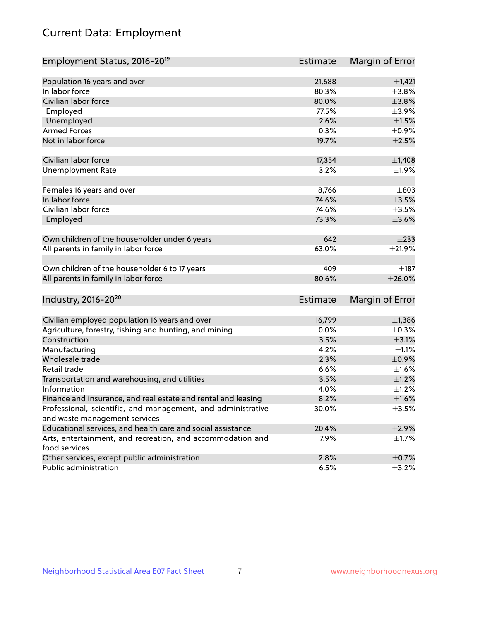# Current Data: Employment

| Employment Status, 2016-20 <sup>19</sup>                      | <b>Estimate</b> | Margin of Error |
|---------------------------------------------------------------|-----------------|-----------------|
|                                                               |                 |                 |
| Population 16 years and over                                  | 21,688          | $\pm$ 1,421     |
| In labor force                                                | 80.3%           | $\pm$ 3.8%      |
| Civilian labor force                                          | 80.0%           | $\pm 3.8\%$     |
| Employed                                                      | 77.5%           | $\pm$ 3.9%      |
| Unemployed                                                    | 2.6%            | $\pm 1.5\%$     |
| <b>Armed Forces</b>                                           | 0.3%            | $\pm$ 0.9%      |
| Not in labor force                                            | 19.7%           | $\pm 2.5\%$     |
| Civilian labor force                                          | 17,354          | $\pm$ 1,408     |
| <b>Unemployment Rate</b>                                      | 3.2%            | ±1.9%           |
|                                                               |                 |                 |
| Females 16 years and over                                     | 8,766           | $\pm$ 803       |
| In labor force                                                | 74.6%           | $\pm 3.5\%$     |
| Civilian labor force                                          | 74.6%           | $\pm 3.5\%$     |
| Employed                                                      | 73.3%           | $\pm 3.6\%$     |
|                                                               |                 |                 |
| Own children of the householder under 6 years                 | 642             | $\pm 233$       |
| All parents in family in labor force                          | 63.0%           | $\pm 21.9\%$    |
|                                                               |                 |                 |
| Own children of the householder 6 to 17 years                 | 409             | $\pm$ 187       |
| All parents in family in labor force                          | 80.6%           | ±26.0%          |
|                                                               |                 |                 |
| Industry, 2016-20 <sup>20</sup>                               | <b>Estimate</b> | Margin of Error |
|                                                               |                 |                 |
| Civilian employed population 16 years and over                | 16,799          | $\pm$ 1,386     |
| Agriculture, forestry, fishing and hunting, and mining        | 0.0%            | $\pm$ 0.3%      |
| Construction                                                  | 3.5%            | $\pm$ 3.1%      |
| Manufacturing                                                 | 4.2%            | $\pm 1.1\%$     |
| Wholesale trade                                               | 2.3%            | $\pm$ 0.9%      |
| Retail trade                                                  | 6.6%            | $\pm 1.6\%$     |
| Transportation and warehousing, and utilities                 | 3.5%            | $\pm 1.2\%$     |
| Information                                                   | 4.0%            | $\pm$ 1.2%      |
| Finance and insurance, and real estate and rental and leasing | 8.2%            | $\pm1.6\%$      |
| Professional, scientific, and management, and administrative  | 30.0%           | $\pm$ 3.5%      |
| and waste management services                                 |                 |                 |
| Educational services, and health care and social assistance   | 20.4%           | $\pm 2.9\%$     |
| Arts, entertainment, and recreation, and accommodation and    | 7.9%            | $\pm$ 1.7%      |
| food services                                                 |                 |                 |
| Other services, except public administration                  | 2.8%            | $\pm$ 0.7%      |
| Public administration                                         | 6.5%            | $\pm$ 3.2%      |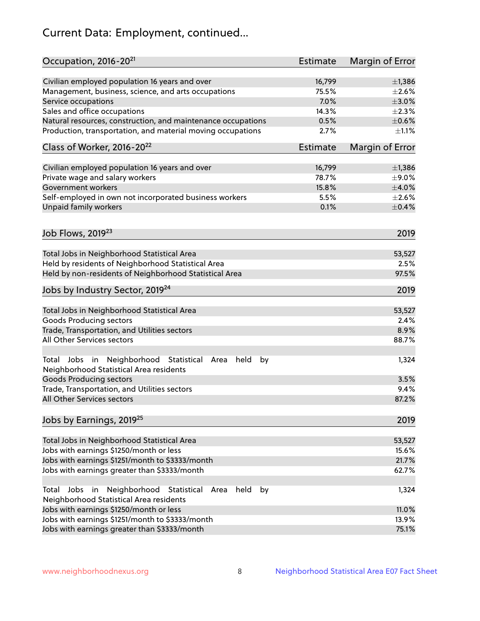# Current Data: Employment, continued...

| Occupation, 2016-20 <sup>21</sup>                                                                                | Estimate | Margin of Error |
|------------------------------------------------------------------------------------------------------------------|----------|-----------------|
| Civilian employed population 16 years and over                                                                   | 16,799   | $\pm$ 1,386     |
| Management, business, science, and arts occupations                                                              | 75.5%    | $\pm 2.6\%$     |
| Service occupations                                                                                              | 7.0%     | $\pm 3.0\%$     |
| Sales and office occupations                                                                                     | 14.3%    | $\pm 2.3\%$     |
| Natural resources, construction, and maintenance occupations                                                     | 0.5%     | $\pm$ 0.6%      |
| Production, transportation, and material moving occupations                                                      | 2.7%     | $\pm 1.1\%$     |
| Class of Worker, 2016-20 <sup>22</sup>                                                                           | Estimate | Margin of Error |
| Civilian employed population 16 years and over                                                                   | 16,799   | $\pm$ 1,386     |
| Private wage and salary workers                                                                                  | 78.7%    | $\pm$ 9.0%      |
| Government workers                                                                                               | 15.8%    | $\pm$ 4.0%      |
| Self-employed in own not incorporated business workers                                                           | 5.5%     | $\pm 2.6\%$     |
| Unpaid family workers                                                                                            | 0.1%     | $\pm$ 0.4%      |
| Job Flows, 2019 <sup>23</sup>                                                                                    |          | 2019            |
|                                                                                                                  |          |                 |
| Total Jobs in Neighborhood Statistical Area                                                                      |          | 53,527          |
| Held by residents of Neighborhood Statistical Area                                                               |          | 2.5%            |
| Held by non-residents of Neighborhood Statistical Area                                                           |          | 97.5%           |
| Jobs by Industry Sector, 2019 <sup>24</sup>                                                                      |          | 2019            |
| Total Jobs in Neighborhood Statistical Area                                                                      |          | 53,527          |
| <b>Goods Producing sectors</b>                                                                                   |          | 2.4%            |
| Trade, Transportation, and Utilities sectors                                                                     |          | 8.9%            |
| All Other Services sectors                                                                                       |          | 88.7%           |
| Total Jobs in Neighborhood Statistical<br>held<br>by<br>Area<br>Neighborhood Statistical Area residents          |          | 1,324           |
| <b>Goods Producing sectors</b>                                                                                   |          | 3.5%            |
| Trade, Transportation, and Utilities sectors                                                                     |          | 9.4%            |
| All Other Services sectors                                                                                       |          | 87.2%           |
| Jobs by Earnings, 2019 <sup>25</sup>                                                                             |          | 2019            |
| Total Jobs in Neighborhood Statistical Area                                                                      |          | 53,527          |
| Jobs with earnings \$1250/month or less                                                                          |          | 15.6%           |
| Jobs with earnings \$1251/month to \$3333/month                                                                  |          | 21.7%           |
| Jobs with earnings greater than \$3333/month                                                                     |          | 62.7%           |
| Neighborhood Statistical<br>Jobs<br>in<br>held<br>by<br>Total<br>Area<br>Neighborhood Statistical Area residents |          | 1,324           |
| Jobs with earnings \$1250/month or less                                                                          |          | 11.0%           |
| Jobs with earnings \$1251/month to \$3333/month                                                                  |          | 13.9%           |
| Jobs with earnings greater than \$3333/month                                                                     |          | 75.1%           |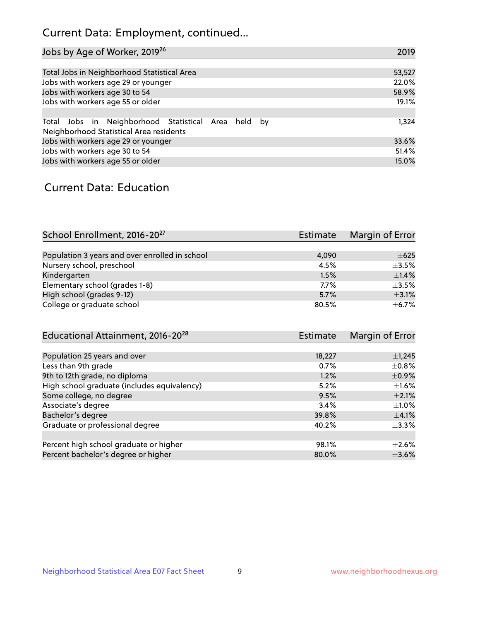## Current Data: Employment, continued...

| Jobs by Age of Worker, 2019 <sup>26</sup>                                                      | 2019   |
|------------------------------------------------------------------------------------------------|--------|
|                                                                                                |        |
| Total Jobs in Neighborhood Statistical Area                                                    | 53,527 |
| Jobs with workers age 29 or younger                                                            | 22.0%  |
| Jobs with workers age 30 to 54                                                                 | 58.9%  |
| Jobs with workers age 55 or older                                                              | 19.1%  |
|                                                                                                |        |
| Total Jobs in Neighborhood Statistical Area held by<br>Neighborhood Statistical Area residents | 1,324  |
| Jobs with workers age 29 or younger                                                            | 33.6%  |
| Jobs with workers age 30 to 54                                                                 | 51.4%  |
| Jobs with workers age 55 or older                                                              | 15.0%  |

### Current Data: Education

| School Enrollment, 2016-20 <sup>27</sup>       | Estimate | Margin of Error |
|------------------------------------------------|----------|-----------------|
|                                                |          |                 |
| Population 3 years and over enrolled in school | 4,090    | $\pm 625$       |
| Nursery school, preschool                      | 4.5%     | $\pm$ 3.5%      |
| Kindergarten                                   | 1.5%     | ±1.4%           |
| Elementary school (grades 1-8)                 | $7.7\%$  | $\pm$ 3.5%      |
| High school (grades 9-12)                      | 5.7%     | $\pm$ 3.1%      |
| College or graduate school                     | 80.5%    | $+6.7%$         |

| <b>Estimate</b> | Margin of Error |
|-----------------|-----------------|
|                 |                 |
| 18,227          | $\pm$ 1,245     |
| 0.7%            | $\pm$ 0.8%      |
| 1.2%            | $\pm$ 0.9%      |
| 5.2%            | $\pm 1.6\%$     |
| 9.5%            | $\pm 2.1\%$     |
| 3.4%            | $\pm 1.0\%$     |
| 39.8%           | $\pm$ 4.1%      |
| 40.2%           | $\pm$ 3.3%      |
|                 |                 |
| 98.1%           | $+2.6%$         |
| 80.0%           | $\pm$ 3.6%      |
|                 |                 |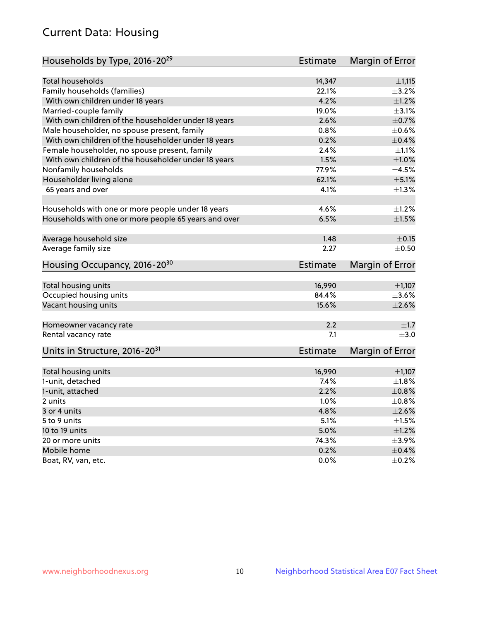## Current Data: Housing

| Households by Type, 2016-20 <sup>29</sup>            | Estimate        | Margin of Error |
|------------------------------------------------------|-----------------|-----------------|
|                                                      |                 |                 |
| Total households                                     | 14,347          | ±1,115          |
| Family households (families)                         | 22.1%           | $\pm$ 3.2%      |
| With own children under 18 years                     | 4.2%            | $\pm 1.2\%$     |
| Married-couple family                                | 19.0%           | $\pm$ 3.1%      |
| With own children of the householder under 18 years  | 2.6%            | $\pm$ 0.7%      |
| Male householder, no spouse present, family          | 0.8%            | $\pm$ 0.6%      |
| With own children of the householder under 18 years  | 0.2%            | $\pm$ 0.4%      |
| Female householder, no spouse present, family        | 2.4%            | $\pm 1.1\%$     |
| With own children of the householder under 18 years  | 1.5%            | $\pm1.0\%$      |
| Nonfamily households                                 | 77.9%           | $\pm 4.5\%$     |
| Householder living alone                             | 62.1%           | $\pm$ 5.1%      |
| 65 years and over                                    | 4.1%            | $\pm$ 1.3%      |
|                                                      |                 |                 |
| Households with one or more people under 18 years    | 4.6%            | $\pm 1.2\%$     |
| Households with one or more people 65 years and over | 6.5%            | $\pm 1.5\%$     |
| Average household size                               | 1.48            | $\pm$ 0.15      |
|                                                      | 2.27            |                 |
| Average family size                                  |                 | $\pm$ 0.50      |
| Housing Occupancy, 2016-20 <sup>30</sup>             | <b>Estimate</b> | Margin of Error |
| Total housing units                                  | 16,990          | ±1,107          |
| Occupied housing units                               | 84.4%           | $\pm 3.6\%$     |
| Vacant housing units                                 | 15.6%           | $\pm 2.6\%$     |
|                                                      |                 |                 |
| Homeowner vacancy rate                               | 2.2             | $\pm 1.7$       |
| Rental vacancy rate                                  | 7.1             | $\pm$ 3.0       |
| Units in Structure, 2016-20 <sup>31</sup>            | <b>Estimate</b> | Margin of Error |
|                                                      |                 |                 |
| Total housing units                                  | 16,990          | $\pm$ 1,107     |
| 1-unit, detached                                     | 7.4%            | $\pm1.8\%$      |
| 1-unit, attached                                     | 2.2%            | $\pm$ 0.8%      |
| 2 units                                              | 1.0%            | $\pm 0.8\%$     |
| 3 or 4 units                                         | 4.8%            | $\pm 2.6\%$     |
| 5 to 9 units                                         | 5.1%            | $\pm 1.5\%$     |
| 10 to 19 units                                       | 5.0%            | ±1.2%           |
| 20 or more units                                     | 74.3%           | $\pm$ 3.9%      |
| Mobile home                                          | 0.2%            | $\pm$ 0.4%      |
| Boat, RV, van, etc.                                  | 0.0%            | $\pm$ 0.2%      |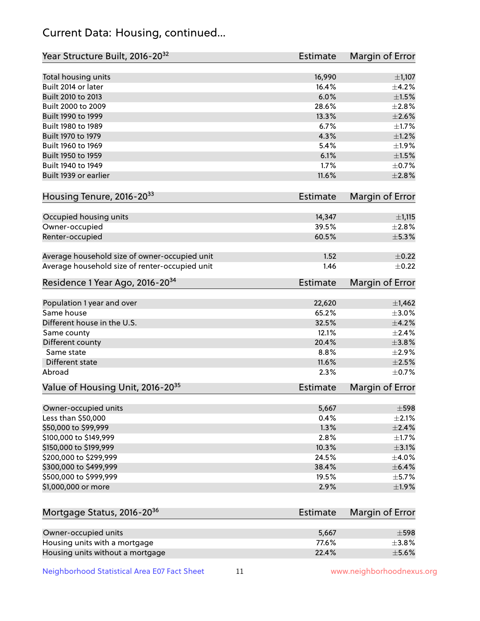## Current Data: Housing, continued...

| Year Structure Built, 2016-20 <sup>32</sup>    | Estimate | Margin of Error |
|------------------------------------------------|----------|-----------------|
| Total housing units                            | 16,990   | $\pm$ 1,107     |
| Built 2014 or later                            | 16.4%    | $\pm$ 4.2%      |
| Built 2010 to 2013                             | 6.0%     | $\pm 1.5\%$     |
| Built 2000 to 2009                             | 28.6%    | $\pm 2.8\%$     |
| Built 1990 to 1999                             | 13.3%    | $\pm 2.6\%$     |
| Built 1980 to 1989                             | 6.7%     | $\pm1.7\%$      |
| Built 1970 to 1979                             | 4.3%     | $\pm 1.2\%$     |
| Built 1960 to 1969                             | 5.4%     | $\pm$ 1.9%      |
| Built 1950 to 1959                             | 6.1%     | $\pm1.5\%$      |
| Built 1940 to 1949                             | 1.7%     | $\pm$ 0.7%      |
| Built 1939 or earlier                          | 11.6%    | ±2.8%           |
| Housing Tenure, 2016-2033                      | Estimate | Margin of Error |
|                                                |          |                 |
| Occupied housing units                         | 14,347   | ±1,115          |
| Owner-occupied                                 | 39.5%    | $\pm 2.8\%$     |
| Renter-occupied                                | 60.5%    | ±5.3%           |
| Average household size of owner-occupied unit  | 1.52     | $\pm$ 0.22      |
| Average household size of renter-occupied unit | 1.46     | $\pm$ 0.22      |
| Residence 1 Year Ago, 2016-20 <sup>34</sup>    | Estimate | Margin of Error |
|                                                |          |                 |
| Population 1 year and over                     | 22,620   | $\pm$ 1,462     |
| Same house                                     | 65.2%    | $\pm 3.0\%$     |
| Different house in the U.S.                    | 32.5%    | $\pm 4.2\%$     |
| Same county                                    | 12.1%    | $\pm 2.4\%$     |
| Different county                               | 20.4%    | $\pm 3.8\%$     |
| Same state                                     | 8.8%     | ±2.9%           |
| Different state                                | 11.6%    | $\pm 2.5\%$     |
| Abroad                                         | 2.3%     | $\pm$ 0.7%      |
| Value of Housing Unit, 2016-20 <sup>35</sup>   | Estimate | Margin of Error |
|                                                |          |                 |
| Owner-occupied units                           | 5,667    | $\pm$ 598       |
| Less than \$50,000                             | 0.4%     | $\pm 2.1\%$     |
| \$50,000 to \$99,999                           | 1.3%     | ±2.4%           |
| \$100,000 to \$149,999                         | 2.8%     | $\pm 1.7\%$     |
| \$150,000 to \$199,999                         | 10.3%    | $\pm$ 3.1%      |
| \$200,000 to \$299,999                         | 24.5%    | $\pm$ 4.0%      |
| \$300,000 to \$499,999                         | 38.4%    | $\pm$ 6.4%      |
| \$500,000 to \$999,999                         | 19.5%    | $\pm$ 5.7%      |
| \$1,000,000 or more                            | 2.9%     | $\pm$ 1.9%      |
| Mortgage Status, 2016-20 <sup>36</sup>         | Estimate | Margin of Error |
|                                                |          |                 |
| Owner-occupied units                           | 5,667    | $\pm$ 598       |
| Housing units with a mortgage                  | 77.6%    | $\pm$ 3.8%      |
| Housing units without a mortgage               | 22.4%    | $\pm$ 5.6%      |

Housing units without a mortgage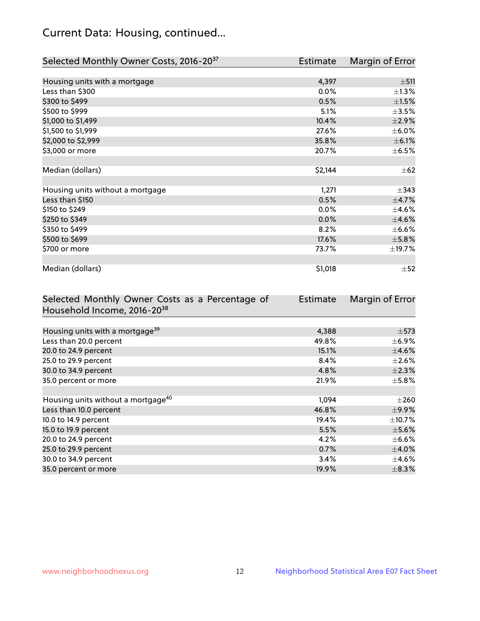## Current Data: Housing, continued...

| Selected Monthly Owner Costs, 2016-20 <sup>37</sup> | <b>Estimate</b> | Margin of Error |
|-----------------------------------------------------|-----------------|-----------------|
|                                                     |                 |                 |
| Housing units with a mortgage                       | 4,397           | ±511            |
| Less than \$300                                     | 0.0%            | $\pm 1.3\%$     |
| \$300 to \$499                                      | 0.5%            | $\pm$ 1.5%      |
| \$500 to \$999                                      | 5.1%            | $\pm$ 3.5%      |
| \$1,000 to \$1,499                                  | 10.4%           | $\pm 2.9\%$     |
| \$1,500 to \$1,999                                  | 27.6%           | $\pm$ 6.0%      |
| \$2,000 to \$2,999                                  | 35.8%           | $\pm$ 6.1%      |
| \$3,000 or more                                     | 20.7%           | $\pm$ 6.5%      |
|                                                     |                 |                 |
| Median (dollars)                                    | \$2,144         | $\pm$ 62        |
|                                                     |                 |                 |
| Housing units without a mortgage                    | 1,271           | $\pm$ 343       |
| Less than \$150                                     | 0.5%            | $\pm$ 4.7%      |
| \$150 to \$249                                      | $0.0\%$         | $\pm$ 4.6%      |
| \$250 to \$349                                      | 0.0%            | $\pm 4.6\%$     |
| \$350 to \$499                                      | 8.2%            | $\pm$ 6.6%      |
| \$500 to \$699                                      | 17.6%           | $\pm$ 5.8%      |
| \$700 or more                                       | 73.7%           | ±19.7%          |
|                                                     |                 |                 |
| Median (dollars)                                    | \$1,018         | $\pm$ 52        |

| Selected Monthly Owner Costs as a Percentage of | <b>Estimate</b> | Margin of Error |
|-------------------------------------------------|-----------------|-----------------|
| Household Income, 2016-20 <sup>38</sup>         |                 |                 |
|                                                 |                 |                 |
| Housing units with a mortgage <sup>39</sup>     | 4,388           | $\pm$ 573       |
| Less than 20.0 percent                          | 49.8%           | $\pm$ 6.9%      |
| 20.0 to 24.9 percent                            | 15.1%           | $\pm$ 4.6%      |
| 25.0 to 29.9 percent                            | 8.4%            | $\pm 2.6\%$     |
| 30.0 to 34.9 percent                            | 4.8%            | $\pm 2.3\%$     |
| 35.0 percent or more                            | 21.9%           | $\pm$ 5.8%      |
|                                                 |                 |                 |
| Housing units without a mortgage <sup>40</sup>  | 1,094           | $\pm 260$       |
| Less than 10.0 percent                          | 46.8%           | $\pm$ 9.9%      |
| 10.0 to 14.9 percent                            | 19.4%           | $\pm$ 10.7%     |
| 15.0 to 19.9 percent                            | 5.5%            | $\pm$ 5.6%      |
| 20.0 to 24.9 percent                            | 4.2%            | $\pm$ 6.6%      |
| 25.0 to 29.9 percent                            | 0.7%            | $\pm$ 4.0%      |
| 30.0 to 34.9 percent                            | 3.4%            | $\pm$ 4.6%      |
| 35.0 percent or more                            | 19.9%           | $\pm$ 8.3%      |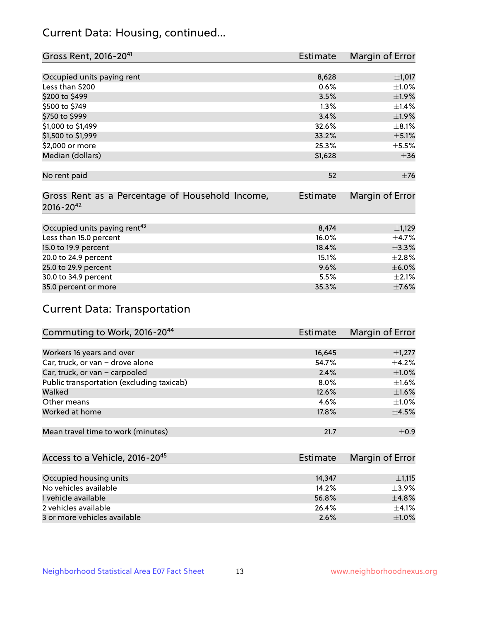## Current Data: Housing, continued...

| Gross Rent, 2016-20 <sup>41</sup>                                   | <b>Estimate</b> | Margin of Error |
|---------------------------------------------------------------------|-----------------|-----------------|
|                                                                     |                 |                 |
| Occupied units paying rent                                          | 8,628           | ±1,017          |
| Less than \$200                                                     | 0.6%            | $\pm 1.0\%$     |
| \$200 to \$499                                                      | 3.5%            | $\pm$ 1.9%      |
| \$500 to \$749                                                      | 1.3%            | $\pm$ 1.4%      |
| \$750 to \$999                                                      | 3.4%            | $\pm$ 1.9%      |
| \$1,000 to \$1,499                                                  | 32.6%           | $\pm$ 8.1%      |
| \$1,500 to \$1,999                                                  | 33.2%           | $\pm$ 5.1%      |
| \$2,000 or more                                                     | 25.3%           | $\pm$ 5.5%      |
| Median (dollars)                                                    | \$1,628         | $\pm$ 36        |
|                                                                     |                 |                 |
| No rent paid                                                        | 52              | $\pm 76$        |
| Gross Rent as a Percentage of Household Income,<br>$2016 - 20^{42}$ | <b>Estimate</b> | Margin of Error |
| Occupied units paying rent <sup>43</sup>                            | 8,474           | $\pm$ 1,129     |
|                                                                     | 16.0%           | $\pm$ 4.7%      |
| Less than 15.0 percent                                              |                 |                 |
| 15.0 to 19.9 percent                                                | 18.4%           | ±3.3%           |
| 20.0 to 24.9 percent                                                | 15.1%           | $\pm 2.8\%$     |
| 25.0 to 29.9 percent                                                | 9.6%            | $\pm$ 6.0%      |
| 30.0 to 34.9 percent                                                | 5.5%            | $\pm 2.1\%$     |
| 35.0 percent or more                                                | 35.3%           | $\pm$ 7.6%      |

# Current Data: Transportation

| Commuting to Work, 2016-20 <sup>44</sup>  | <b>Estimate</b> | Margin of Error |
|-------------------------------------------|-----------------|-----------------|
|                                           |                 |                 |
| Workers 16 years and over                 | 16,645          | $\pm$ 1,277     |
| Car, truck, or van - drove alone          | 54.7%           | $\pm$ 4.2%      |
| Car, truck, or van - carpooled            | 2.4%            | $\pm1.0\%$      |
| Public transportation (excluding taxicab) | $8.0\%$         | $\pm 1.6\%$     |
| Walked                                    | 12.6%           | $\pm1.6\%$      |
| Other means                               | 4.6%            | $\pm 1.0\%$     |
| Worked at home                            | 17.8%           | $\pm$ 4.5%      |
|                                           |                 |                 |
| Mean travel time to work (minutes)        | 21.7            | $\pm$ 0.9       |

| Access to a Vehicle, 2016-20 <sup>45</sup> | Estimate | Margin of Error |
|--------------------------------------------|----------|-----------------|
|                                            |          |                 |
| Occupied housing units                     | 14,347   | $\pm$ 1,115     |
| No vehicles available                      | 14.2%    | $+3.9%$         |
| 1 vehicle available                        | 56.8%    | $\pm$ 4.8%      |
| 2 vehicles available                       | 26.4%    | $+4.1%$         |
| 3 or more vehicles available               | 2.6%     | $\pm 1.0\%$     |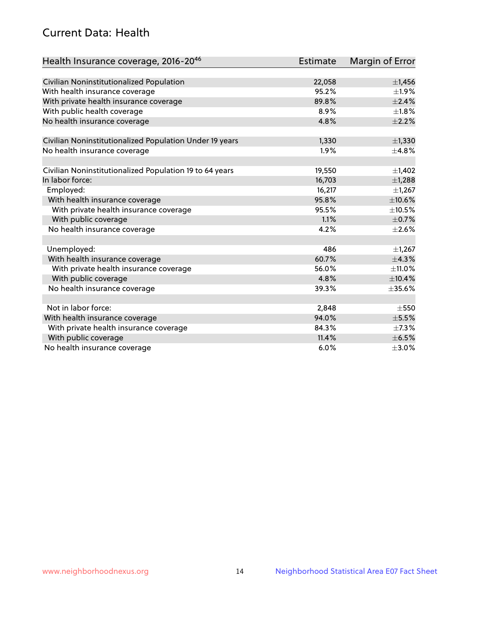## Current Data: Health

| Health Insurance coverage, 2016-2046                    | <b>Estimate</b> | Margin of Error |
|---------------------------------------------------------|-----------------|-----------------|
|                                                         |                 |                 |
| Civilian Noninstitutionalized Population                | 22,058          | $\pm$ 1,456     |
| With health insurance coverage                          | 95.2%           | $\pm 1.9\%$     |
| With private health insurance coverage                  | 89.8%           | ±2.4%           |
| With public health coverage                             | 8.9%            | $\pm 1.8\%$     |
| No health insurance coverage                            | 4.8%            | $\pm 2.2\%$     |
| Civilian Noninstitutionalized Population Under 19 years | 1,330           | $\pm$ 1,330     |
| No health insurance coverage                            | 1.9%            | ±4.8%           |
|                                                         |                 |                 |
| Civilian Noninstitutionalized Population 19 to 64 years | 19,550          | $\pm$ 1,402     |
| In labor force:                                         | 16,703          | ±1,288          |
| Employed:                                               | 16,217          | $\pm$ 1,267     |
| With health insurance coverage                          | 95.8%           | ±10.6%          |
| With private health insurance coverage                  | 95.5%           | $\pm$ 10.5%     |
| With public coverage                                    | 1.1%            | $\pm$ 0.7%      |
| No health insurance coverage                            | 4.2%            | $\pm 2.6\%$     |
|                                                         |                 |                 |
| Unemployed:                                             | 486             | $\pm$ 1,267     |
| With health insurance coverage                          | 60.7%           | ±4.3%           |
| With private health insurance coverage                  | 56.0%           | $\pm$ 11.0%     |
| With public coverage                                    | 4.8%            | ±10.4%          |
| No health insurance coverage                            | 39.3%           | $\pm$ 35.6%     |
|                                                         |                 |                 |
| Not in labor force:                                     | 2,848           | $\pm$ 550       |
| With health insurance coverage                          | 94.0%           | $\pm$ 5.5%      |
| With private health insurance coverage                  | 84.3%           | $\pm$ 7.3%      |
| With public coverage                                    | 11.4%           | $\pm$ 6.5%      |
| No health insurance coverage                            | 6.0%            | $\pm 3.0\%$     |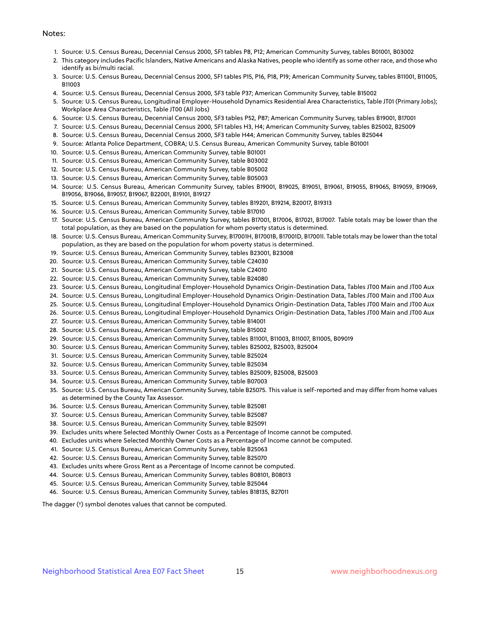#### Notes:

- 1. Source: U.S. Census Bureau, Decennial Census 2000, SF1 tables P8, P12; American Community Survey, tables B01001, B03002
- 2. This category includes Pacific Islanders, Native Americans and Alaska Natives, people who identify as some other race, and those who identify as bi/multi racial.
- 3. Source: U.S. Census Bureau, Decennial Census 2000, SF1 tables P15, P16, P18, P19; American Community Survey, tables B11001, B11005, B11003
- 4. Source: U.S. Census Bureau, Decennial Census 2000, SF3 table P37; American Community Survey, table B15002
- 5. Source: U.S. Census Bureau, Longitudinal Employer-Household Dynamics Residential Area Characteristics, Table JT01 (Primary Jobs); Workplace Area Characteristics, Table JT00 (All Jobs)
- 6. Source: U.S. Census Bureau, Decennial Census 2000, SF3 tables P52, P87; American Community Survey, tables B19001, B17001
- 7. Source: U.S. Census Bureau, Decennial Census 2000, SF1 tables H3, H4; American Community Survey, tables B25002, B25009
- 8. Source: U.S. Census Bureau, Decennial Census 2000, SF3 table H44; American Community Survey, tables B25044
- 9. Source: Atlanta Police Department, COBRA; U.S. Census Bureau, American Community Survey, table B01001
- 10. Source: U.S. Census Bureau, American Community Survey, table B01001
- 11. Source: U.S. Census Bureau, American Community Survey, table B03002
- 12. Source: U.S. Census Bureau, American Community Survey, table B05002
- 13. Source: U.S. Census Bureau, American Community Survey, table B05003
- 14. Source: U.S. Census Bureau, American Community Survey, tables B19001, B19025, B19051, B19061, B19055, B19065, B19059, B19069, B19056, B19066, B19057, B19067, B22001, B19101, B19127
- 15. Source: U.S. Census Bureau, American Community Survey, tables B19201, B19214, B20017, B19313
- 16. Source: U.S. Census Bureau, American Community Survey, table B17010
- 17. Source: U.S. Census Bureau, American Community Survey, tables B17001, B17006, B17021, B17007. Table totals may be lower than the total population, as they are based on the population for whom poverty status is determined.
- 18. Source: U.S. Census Bureau, American Community Survey, B17001H, B17001B, B17001D, B17001I. Table totals may be lower than the total population, as they are based on the population for whom poverty status is determined.
- 19. Source: U.S. Census Bureau, American Community Survey, tables B23001, B23008
- 20. Source: U.S. Census Bureau, American Community Survey, table C24030
- 21. Source: U.S. Census Bureau, American Community Survey, table C24010
- 22. Source: U.S. Census Bureau, American Community Survey, table B24080
- 23. Source: U.S. Census Bureau, Longitudinal Employer-Household Dynamics Origin-Destination Data, Tables JT00 Main and JT00 Aux
- 24. Source: U.S. Census Bureau, Longitudinal Employer-Household Dynamics Origin-Destination Data, Tables JT00 Main and JT00 Aux
- 25. Source: U.S. Census Bureau, Longitudinal Employer-Household Dynamics Origin-Destination Data, Tables JT00 Main and JT00 Aux
- 26. Source: U.S. Census Bureau, Longitudinal Employer-Household Dynamics Origin-Destination Data, Tables JT00 Main and JT00 Aux
- 27. Source: U.S. Census Bureau, American Community Survey, table B14001
- 28. Source: U.S. Census Bureau, American Community Survey, table B15002
- 29. Source: U.S. Census Bureau, American Community Survey, tables B11001, B11003, B11007, B11005, B09019
- 30. Source: U.S. Census Bureau, American Community Survey, tables B25002, B25003, B25004
- 31. Source: U.S. Census Bureau, American Community Survey, table B25024
- 32. Source: U.S. Census Bureau, American Community Survey, table B25034
- 33. Source: U.S. Census Bureau, American Community Survey, tables B25009, B25008, B25003
- 34. Source: U.S. Census Bureau, American Community Survey, table B07003
- 35. Source: U.S. Census Bureau, American Community Survey, table B25075. This value is self-reported and may differ from home values as determined by the County Tax Assessor.
- 36. Source: U.S. Census Bureau, American Community Survey, table B25081
- 37. Source: U.S. Census Bureau, American Community Survey, table B25087
- 38. Source: U.S. Census Bureau, American Community Survey, table B25091
- 39. Excludes units where Selected Monthly Owner Costs as a Percentage of Income cannot be computed.
- 40. Excludes units where Selected Monthly Owner Costs as a Percentage of Income cannot be computed.
- 41. Source: U.S. Census Bureau, American Community Survey, table B25063
- 42. Source: U.S. Census Bureau, American Community Survey, table B25070
- 43. Excludes units where Gross Rent as a Percentage of Income cannot be computed.
- 44. Source: U.S. Census Bureau, American Community Survey, tables B08101, B08013
- 45. Source: U.S. Census Bureau, American Community Survey, table B25044
- 46. Source: U.S. Census Bureau, American Community Survey, tables B18135, B27011

The dagger (†) symbol denotes values that cannot be computed.